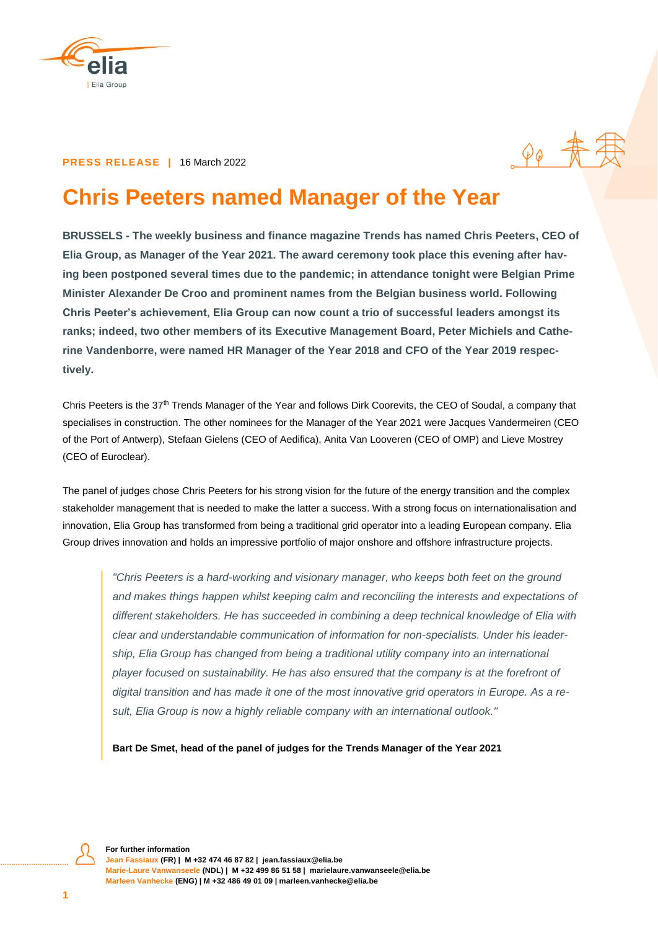

#### **PRESS RELEASE |** 16 March 2022

# **Chris Peeters named Manager of the Year**

 $\varphi_{\varphi}$  =

**BRUSSELS - The weekly business and finance magazine Trends has named Chris Peeters, CEO of Elia Group, as Manager of the Year 2021. The award ceremony took place this evening after having been postponed several times due to the pandemic; in attendance tonight were Belgian Prime Minister Alexander De Croo and prominent names from the Belgian business world. Following Chris Peeter's achievement, Elia Group can now count a trio of successful leaders amongst its ranks; indeed, two other members of its Executive Management Board, Peter Michiels and Catherine Vandenborre, were named HR Manager of the Year 2018 and CFO of the Year 2019 respectively.**

Chris Peeters is the 37<sup>th</sup> Trends Manager of the Year and follows Dirk Coorevits, the CEO of Soudal, a company that specialises in construction. The other nominees for the Manager of the Year 2021 were Jacques Vandermeiren (CEO of the Port of Antwerp), Stefaan Gielens (CEO of Aedifica), Anita Van Looveren (CEO of OMP) and Lieve Mostrey (CEO of Euroclear).

The panel of judges chose Chris Peeters for his strong vision for the future of the energy transition and the complex stakeholder management that is needed to make the latter a success. With a strong focus on internationalisation and innovation, Elia Group has transformed from being a traditional grid operator into a leading European company. Elia Group drives innovation and holds an impressive portfolio of major onshore and offshore infrastructure projects.

*"Chris Peeters is a hard-working and visionary manager, who keeps both feet on the ground and makes things happen whilst keeping calm and reconciling the interests and expectations of different stakeholders. He has succeeded in combining a deep technical knowledge of Elia with clear and understandable communication of information for non-specialists. Under his leadership, Elia Group has changed from being a traditional utility company into an international player focused on sustainability. He has also ensured that the company is at the forefront of digital transition and has made it one of the most innovative grid operators in Europe. As a result, Elia Group is now a highly reliable company with an international outlook."*

**Bart De Smet, head of the panel of judges for the Trends Manager of the Year 2021**

**For further information** 

**Jean Fassiaux (FR) | M +32 474 46 87 82 | [jean.fassiaux@elia.be](mailto:jean.fassiaux@elia.be) Marie-Laure Vanwanseele (NDL) | M +32 499 86 51 58 | [marielaure.vanwanseele@elia.be](mailto:marielaure.vanwanseele@elia.be) Marleen Vanhecke (ENG) | M +32 486 49 01 09 | marleen.vanhecke@elia.be**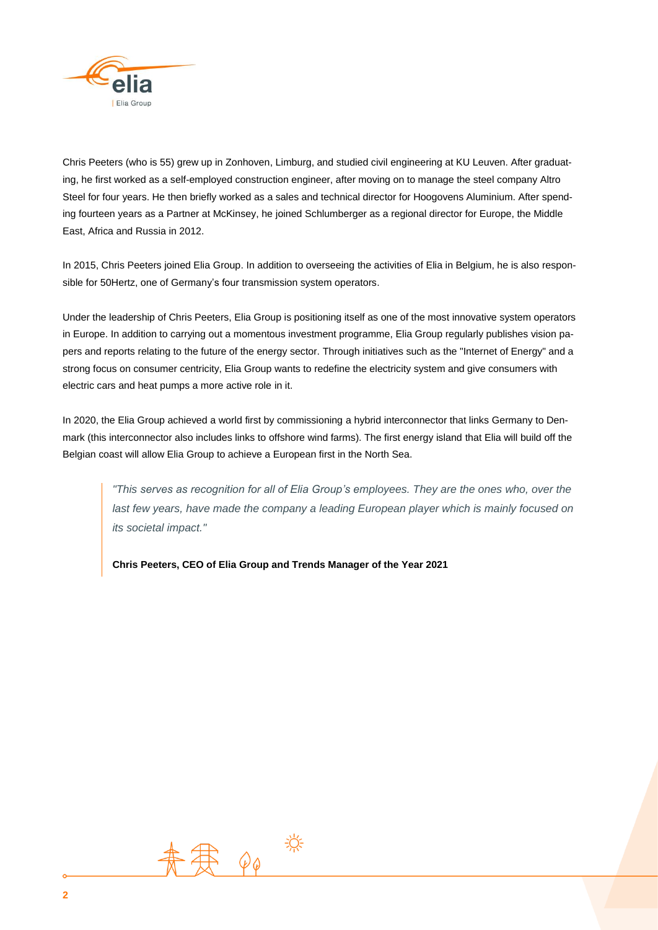

Chris Peeters (who is 55) grew up in Zonhoven, Limburg, and studied civil engineering at KU Leuven. After graduating, he first worked as a self-employed construction engineer, after moving on to manage the steel company Altro Steel for four years. He then briefly worked as a sales and technical director for Hoogovens Aluminium. After spending fourteen years as a Partner at McKinsey, he joined Schlumberger as a regional director for Europe, the Middle East, Africa and Russia in 2012.

In 2015, Chris Peeters joined Elia Group. In addition to overseeing the activities of Elia in Belgium, he is also responsible for 50Hertz, one of Germany's four transmission system operators.

Under the leadership of Chris Peeters, Elia Group is positioning itself as one of the most innovative system operators in Europe. In addition to carrying out a momentous investment programme, Elia Group regularly publishes vision papers and reports relating to the future of the energy sector. Through initiatives such as the "Internet of Energy" and a strong focus on consumer centricity, Elia Group wants to redefine the electricity system and give consumers with electric cars and heat pumps a more active role in it.

In 2020, the Elia Group achieved a world first by commissioning a hybrid interconnector that links Germany to Denmark (this interconnector also includes links to offshore wind farms). The first energy island that Elia will build off the Belgian coast will allow Elia Group to achieve a European first in the North Sea.

*"This serves as recognition for all of Elia Group's employees. They are the ones who, over the*  last few years, have made the company a leading European player which is mainly focused on *its societal impact."*

**Chris Peeters, CEO of Elia Group and Trends Manager of the Year 2021**

![](_page_1_Picture_7.jpeg)